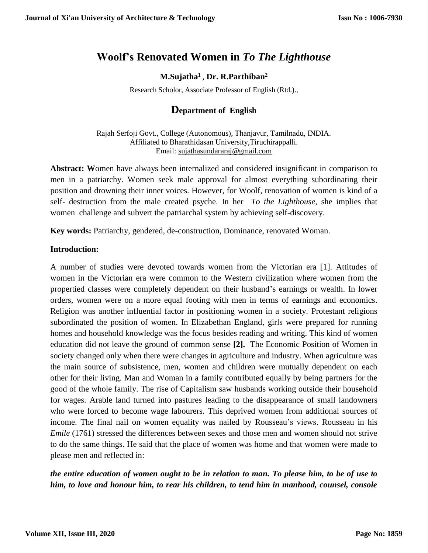# **Woolf's Renovated Women in** *To The Lighthouse*

## **M.Sujatha<sup>1</sup>** , **Dr. R.Parthiban<sup>2</sup>**

Research Scholor, Associate Professor of English (Rtd.).,

# **Department of English**

Rajah Serfoji Govt., College (Autonomous), Thanjavur, Tamilnadu, INDIA. Affiliated to Bharathidasan University,Tiruchirappalli. Email: [sujathasundararaj@gmail.com](mailto:sujathasundararaj@gmail.com)

**Abstract: W**omen have always been internalized and considered insignificant in comparison to men in a patriarchy. Women seek male approval for almost everything subordinating their position and drowning their inner voices. However, for Woolf, renovation of women is kind of a self- destruction from the male created psyche. In her *To the Lighthouse*, she implies that women challenge and subvert the patriarchal system by achieving self-discovery.

**Key words:** Patriarchy, gendered, de-construction, Dominance, renovated Woman.

#### **Introduction:**

A number of studies were devoted towards women from the Victorian era [1]. Attitudes of women in the Victorian era were common to the Western civilization where women from the propertied classes were completely dependent on their husband's earnings or wealth. In lower orders, women were on a more equal footing with men in terms of earnings and economics. Religion was another influential factor in positioning women in a society. Protestant religions subordinated the position of women. In Elizabethan England, girls were prepared for running homes and household knowledge was the focus besides reading and writing. This kind of women education did not leave the ground of common sense **[2].** The Economic Position of Women in society changed only when there were changes in agriculture and industry. When agriculture was the main source of subsistence, men, women and children were mutually dependent on each other for their living. Man and Woman in a family contributed equally by being partners for the good of the whole family. The rise of Capitalism saw husbands working outside their household for wages. Arable land turned into pastures leading to the disappearance of small landowners who were forced to become wage labourers. This deprived women from additional sources of income. The final nail on women equality was nailed by Rousseau's views. Rousseau in his *Emile* (1761) stressed the differences between sexes and those men and women should not strive to do the same things. He said that the place of women was home and that women were made to please men and reflected in:

# *the entire education of women ought to be in relation to man. To please him, to be of use to him, to love and honour him, to rear his children, to tend him in manhood, counsel, console*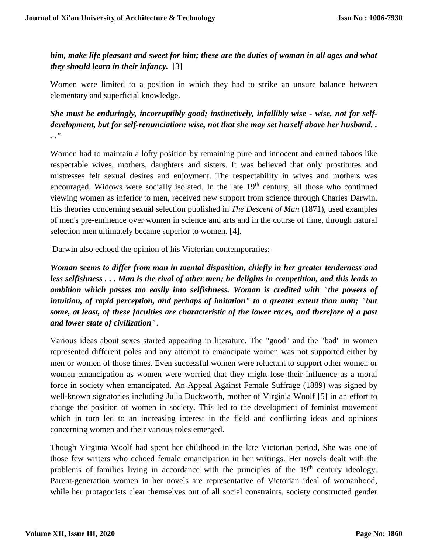*him, make life pleasant and sweet for him; these are the duties of woman in all ages and what they should learn in their infancy.* [3]

Women were limited to a position in which they had to strike an unsure balance between elementary and superficial knowledge.

*She must be enduringly, incorruptibly good; instinctively, infallibly wise - wise, not for selfdevelopment, but for self-renunciation: wise, not that she may set herself above her husband. . . ."*

Women had to maintain a lofty position by remaining pure and innocent and earned taboos like respectable wives, mothers, daughters and sisters. It was believed that only prostitutes and mistresses felt sexual desires and enjoyment. The respectability in wives and mothers was encouraged. Widows were socially isolated. In the late  $19<sup>th</sup>$  century, all those who continued viewing women as inferior to men, received new support from science through Charles Darwin. His theories concerning sexual selection published in *The Descent of Man* (1871), used examples of men's pre-eminence over women in science and arts and in the course of time, through natural selection men ultimately became superior to women. [4].

Darwin also echoed the opinion of his Victorian contemporaries:

*Woman seems to differ from man in mental disposition, chiefly in her greater tenderness and less selfishness . . . Man is the rival of other men; he delights in competition, and this leads to ambition which passes too easily into selfishness. Woman is credited with "the powers of intuition, of rapid perception, and perhaps of imitation" to a greater extent than man; "but some, at least, of these faculties are characteristic of the lower races, and therefore of a past and lower state of civilization"*.

Various ideas about sexes started appearing in literature. The "good" and the "bad" in women represented different poles and any attempt to emancipate women was not supported either by men or women of those times. Even successful women were reluctant to support other women or women emancipation as women were worried that they might lose their influence as a moral force in society when emancipated. An Appeal Against Female Suffrage (1889) was signed by well-known signatories including Julia Duckworth, mother of Virginia Woolf [5] in an effort to change the position of women in society. This led to the development of feminist movement which in turn led to an increasing interest in the field and conflicting ideas and opinions concerning women and their various roles emerged.

Though Virginia Woolf had spent her childhood in the late Victorian period, She was one of those few writers who echoed female emancipation in her writings. Her novels dealt with the problems of families living in accordance with the principles of the 19<sup>th</sup> century ideology. Parent-generation women in her novels are representative of Victorian ideal of womanhood, while her protagonists clear themselves out of all social constraints, society constructed gender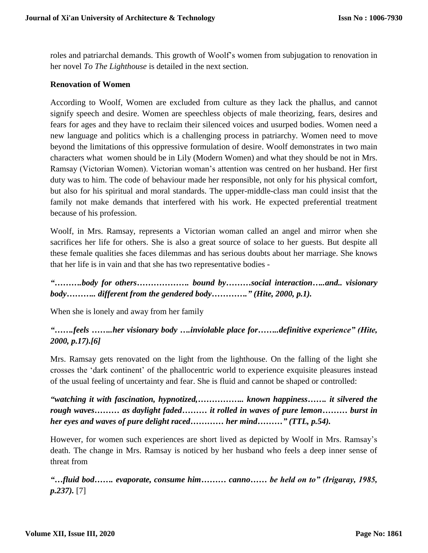roles and patriarchal demands. This growth of Woolf's women from subjugation to renovation in her novel *To The Lighthouse* is detailed in the next section.

### **Renovation of Women**

According to Woolf, Women are excluded from culture as they lack the phallus, and cannot signify speech and desire. Women are speechless objects of male theorizing, fears, desires and fears for ages and they have to reclaim their silenced voices and usurped bodies. Women need a new language and politics which is a challenging process in patriarchy. Women need to move beyond the limitations of this oppressive formulation of desire. Woolf demonstrates in two main characters what women should be in Lily (Modern Women) and what they should be not in Mrs. Ramsay (Victorian Women). Victorian woman's attention was centred on her husband. Her first duty was to him. The code of behaviour made her responsible, not only for his physical comfort, but also for his spiritual and moral standards. The upper-middle-class man could insist that the family not make demands that interfered with his work. He expected preferential treatment because of his profession.

Woolf, in Mrs. Ramsay, represents a Victorian woman called an angel and mirror when she sacrifices her life for others. She is also a great source of solace to her guests. But despite all these female qualities she faces dilemmas and has serious doubts about her marriage. She knows that her life is in vain and that she has two representative bodies -

*"……….body for others………………. bound by………social interaction…..and.. visionary body……….. different from the gendered body…………." (Hite, 2000, p.1).* 

When she is lonely and away from her family

# *"…….feels ……..her visionary body ….inviolable place for……..definitive experience" (Hite, 2000, p.17).[6]*

Mrs. Ramsay gets renovated on the light from the lighthouse. On the falling of the light she crosses the 'dark continent' of the phallocentric world to experience exquisite pleasures instead of the usual feeling of uncertainty and fear. She is fluid and cannot be shaped or controlled:

*"watching it with fascination, hypnotized,…………….. known happiness……. it silvered the rough waves……… as daylight faded……… it rolled in waves of pure lemon……… burst in her eyes and waves of pure delight raced………… her mind………" (TTL, p.54).*

However, for women such experiences are short lived as depicted by Woolf in Mrs. Ramsay's death. The change in Mrs. Ramsay is noticed by her husband who feels a deep inner sense of threat from

*"…fluid bod……. evaporate, consume him……… canno…… be held on to" (Irigaray, 1985, p.237).* [7]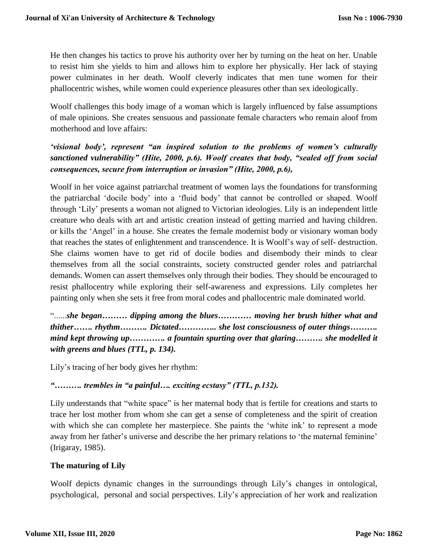He then changes his tactics to prove his authority over her by turning on the heat on her. Unable to resist him she yields to him and allows him to explore her physically. Her lack of staying power culminates in her death. Woolf cleverly indicates that men tune women for their phallocentric wishes, while women could experience pleasures other than sex ideologically.

Woolf challenges this body image of a woman which is largely influenced by false assumptions of male opinions. She creates sensuous and passionate female characters who remain aloof from motherhood and love affairs:

# *'visional body', represent "an inspired solution to the problems of women's culturally sanctioned vulnerability" (Hite, 2000, p.6). Woolf creates that body, "sealed off from social consequences, secure from interruption or invasion" (Hite, 2000, p.6),*

Woolf in her voice against patriarchal treatment of women lays the foundations for transforming the patriarchal 'docile body' into a 'fluid body' that cannot be controlled or shaped. Woolf through 'Lily' presents a woman not aligned to Victorian ideologies. Lily is an independent little creature who deals with art and artistic creation instead of getting married and having children. or kills the 'Angel' in a house. She creates the female modernist body or visionary woman body that reaches the states of enlightenment and transcendence. It is Woolf's way of self- destruction. She claims women have to get rid of docile bodies and disembody their minds to clear themselves from all the social constraints, society constructed gender roles and patriarchal demands. Women can assert themselves only through their bodies. They should be encouraged to resist phallocentry while exploring their self-awareness and expressions. Lily completes her painting only when she sets it free from moral codes and phallocentric male dominated world.

"......*she began……… dipping among the blues………… moving her brush hither what and thither……. rhythm………. Dictated………….. she lost consciousness of outer things………. mind kept throwing up…………. a fountain spurting over that glaring………. she modelled it with greens and blues (TTL, p. 134).*

Lily's tracing of her body gives her rhythm:

# *"………. trembles in "a painful…. exciting ecstasy" (TTL, p.132).*

Lily understands that "white space" is her maternal body that is fertile for creations and starts to trace her lost mother from whom she can get a sense of completeness and the spirit of creation with which she can complete her masterpiece. She paints the 'white ink' to represent a mode away from her father's universe and describe the her primary relations to 'the maternal feminine' (Irigaray, 1985).

# **The maturing of Lily**

Woolf depicts dynamic changes in the surroundings through Lily's changes in ontological, psychological, personal and social perspectives. Lily's appreciation of her work and realization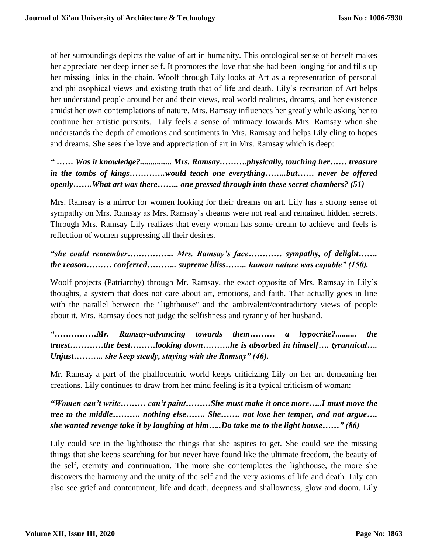of her surroundings depicts the value of art in humanity. This ontological sense of herself makes her appreciate her deep inner self. It promotes the love that she had been longing for and fills up her missing links in the chain. Woolf through Lily looks at Art as a representation of personal and philosophical views and existing truth that of life and death. Lily's recreation of Art helps her understand people around her and their views, real world realities, dreams, and her existence amidst her own contemplations of nature. Mrs. Ramsay influences her greatly while asking her to continue her artistic pursuits. Lily feels a sense of intimacy towards Mrs. Ramsay when she understands the depth of emotions and sentiments in Mrs. Ramsay and helps Lily cling to hopes and dreams. She sees the love and appreciation of art in Mrs. Ramsay which is deep:

*" …… Was it knowledge?............... Mrs. Ramsay……….physically, touching her…… treasure in the tombs of kings………….would teach one everything……..but…… never be offered openly…….What art was there…….. one pressed through into these secret chambers? (51)*

Mrs. Ramsay is a mirror for women looking for their dreams on art. Lily has a strong sense of sympathy on Mrs. Ramsay as Mrs. Ramsay's dreams were not real and remained hidden secrets. Through Mrs. Ramsay Lily realizes that every woman has some dream to achieve and feels is reflection of women suppressing all their desires.

# *"she could remember…………….. Mrs. Ramsay's face………… sympathy, of delight……. the reason……… conferred……….. supreme bliss…….. human nature was capable" (150).*

Woolf projects (Patriarchy) through Mr. Ramsay, the exact opposite of Mrs. Ramsay in Lily's thoughts, a system that does not care about art, emotions, and faith. That actually goes in line with the parallel between the "lighthouse" and the ambivalent/contradictory views of people about it. Mrs. Ramsay does not judge the selfishness and tyranny of her husband.

*"……………Mr. Ramsay-advancing towards them……… a hypocrite?.......... the truest…………the best………looking down……….he is absorbed in himself…. tyrannical…. Unjust……….. she keep steady, staying with the Ramsay" (46).*

Mr. Ramsay a part of the phallocentric world keeps criticizing Lily on her art demeaning her creations. Lily continues to draw from her mind feeling is it a typical criticism of woman:

*"Women can't write……… can't paint………She must make it once more…..I must move the tree to the middle………. nothing else……. She……. not lose her temper, and not argue…. she wanted revenge take it by laughing at him…..Do take me to the light house……" (86)*

Lily could see in the lighthouse the things that she aspires to get. She could see the missing things that she keeps searching for but never have found like the ultimate freedom, the beauty of the self, eternity and continuation. The more she contemplates the lighthouse, the more she discovers the harmony and the unity of the self and the very axioms of life and death. Lily can also see grief and contentment, life and death, deepness and shallowness, glow and doom. Lily